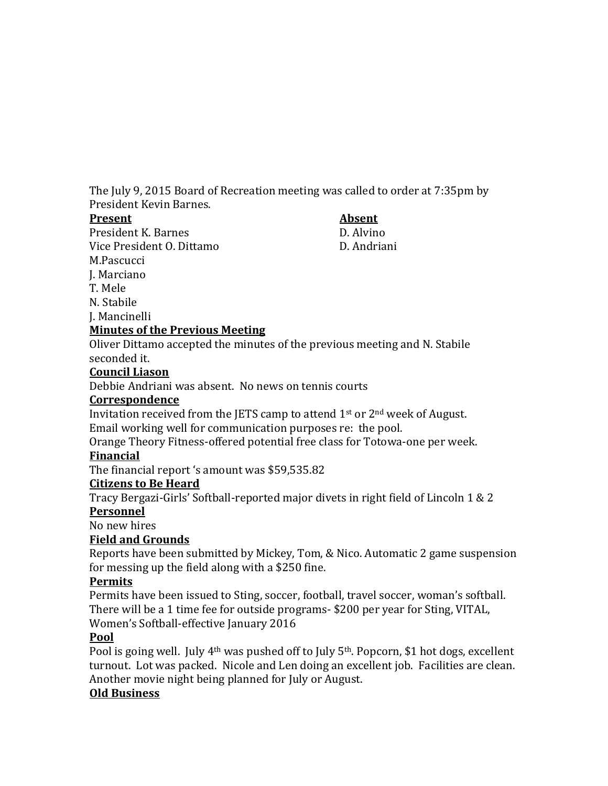The July 9, 2015 Board of Recreation meeting was called to order at 7:35pm by President Kevin Barnes.

#### **Present Absent**

President K. Barnes D. Alvino Vice President O. Dittamo D. Andriani M.Pascucci

#### J. Marciano T. Mele

N. Stabile

J. Mancinelli

## **Minutes of the Previous Meeting**

Oliver Dittamo accepted the minutes of the previous meeting and N. Stabile seconded it.

## **Council Liason**

Debbie Andriani was absent. No news on tennis courts

## **Correspondence**

Invitation received from the JETS camp to attend  $1<sup>st</sup>$  or  $2<sup>nd</sup>$  week of August. Email working well for communication purposes re: the pool.

Orange Theory Fitness-offered potential free class for Totowa-one per week. **Financial**

The financial report 's amount was \$59,535.82

# **Citizens to Be Heard**

Tracy Bergazi-Girls' Softball-reported major divets in right field of Lincoln 1 & 2

## **Personnel**

No new hires

# **Field and Grounds**

Reports have been submitted by Mickey, Tom, & Nico. Automatic 2 game suspension for messing up the field along with a \$250 fine.

# **Permits**

Permits have been issued to Sting, soccer, football, travel soccer, woman's softball. There will be a 1 time fee for outside programs- \$200 per year for Sting, VITAL, Women's Softball-effective January 2016

# **Pool**

Pool is going well. July 4<sup>th</sup> was pushed off to July 5<sup>th</sup>. Popcorn, \$1 hot dogs, excellent turnout. Lot was packed. Nicole and Len doing an excellent job. Facilities are clean. Another movie night being planned for July or August.

# **Old Business**